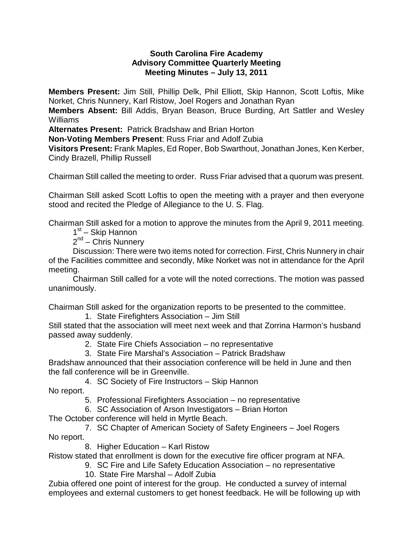## **South Carolina Fire Academy Advisory Committee Quarterly Meeting Meeting Minutes – July 13, 2011**

**Members Present:** Jim Still, Phillip Delk, Phil Elliott, Skip Hannon, Scott Loftis, Mike Norket, Chris Nunnery, Karl Ristow, Joel Rogers and Jonathan Ryan

**Members Absent:** Bill Addis, Bryan Beason, Bruce Burding, Art Sattler and Wesley Williams

**Alternates Present:** Patrick Bradshaw and Brian Horton

**Non-Voting Members Present**: Russ Friar and Adolf Zubia

**Visitors Present:** Frank Maples, Ed Roper, Bob Swarthout, Jonathan Jones, Ken Kerber, Cindy Brazell, Phillip Russell

Chairman Still called the meeting to order. Russ Friar advised that a quorum was present.

Chairman Still asked Scott Loftis to open the meeting with a prayer and then everyone stood and recited the Pledge of Allegiance to the U. S. Flag.

Chairman Still asked for a motion to approve the minutes from the April 9, 2011 meeting.

1<sup>st</sup> – Skip Hannon

 $2^{nd}$  – Chris Nunnery

Discussion: There were two items noted for correction. First, Chris Nunnery in chair of the Facilities committee and secondly, Mike Norket was not in attendance for the April meeting.

Chairman Still called for a vote will the noted corrections. The motion was passed unanimously.

Chairman Still asked for the organization reports to be presented to the committee.

1. State Firefighters Association – Jim Still

Still stated that the association will meet next week and that Zorrina Harmon's husband passed away suddenly.

- 2. State Fire Chiefs Association no representative
- 3. State Fire Marshal's Association Patrick Bradshaw

Bradshaw announced that their association conference will be held in June and then the fall conference will be in Greenville.

4. SC Society of Fire Instructors – Skip Hannon

No report.

5. Professional Firefighters Association – no representative

6. SC Association of Arson Investigators – Brian Horton

The October conference will held in Myrtle Beach.

7. SC Chapter of American Society of Safety Engineers – Joel Rogers No report.

8. Higher Education – Karl Ristow

Ristow stated that enrollment is down for the executive fire officer program at NFA.

9. SC Fire and Life Safety Education Association – no representative

10. State Fire Marshal – Adolf Zubia

Zubia offered one point of interest for the group. He conducted a survey of internal employees and external customers to get honest feedback. He will be following up with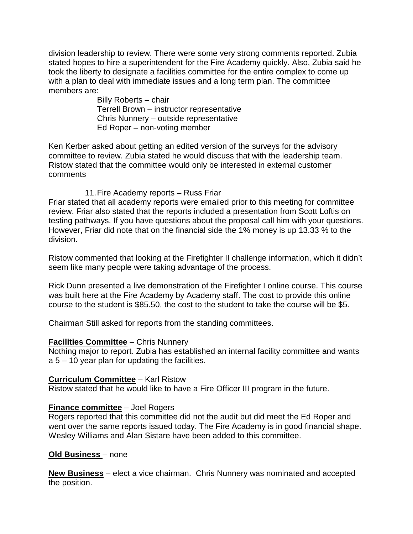division leadership to review. There were some very strong comments reported. Zubia stated hopes to hire a superintendent for the Fire Academy quickly. Also, Zubia said he took the liberty to designate a facilities committee for the entire complex to come up with a plan to deal with immediate issues and a long term plan. The committee members are:

> Billy Roberts – chair Terrell Brown – instructor representative Chris Nunnery – outside representative Ed Roper – non-voting member

Ken Kerber asked about getting an edited version of the surveys for the advisory committee to review. Zubia stated he would discuss that with the leadership team. Ristow stated that the committee would only be interested in external customer comments

### 11.Fire Academy reports – Russ Friar

Friar stated that all academy reports were emailed prior to this meeting for committee review. Friar also stated that the reports included a presentation from Scott Loftis on testing pathways. If you have questions about the proposal call him with your questions. However, Friar did note that on the financial side the 1% money is up 13.33 % to the division.

Ristow commented that looking at the Firefighter II challenge information, which it didn't seem like many people were taking advantage of the process.

Rick Dunn presented a live demonstration of the Firefighter I online course. This course was built here at the Fire Academy by Academy staff. The cost to provide this online course to the student is \$85.50, the cost to the student to take the course will be \$5.

Chairman Still asked for reports from the standing committees.

## **Facilities Committee** – Chris Nunnery

Nothing major to report. Zubia has established an internal facility committee and wants  $a 5 - 10$  year plan for updating the facilities.

#### **Curriculum Committee** – Karl Ristow

Ristow stated that he would like to have a Fire Officer III program in the future.

## **Finance committee** – Joel Rogers

Rogers reported that this committee did not the audit but did meet the Ed Roper and went over the same reports issued today. The Fire Academy is in good financial shape. Wesley Williams and Alan Sistare have been added to this committee.

#### **Old Business** – none

**New Business** – elect a vice chairman. Chris Nunnery was nominated and accepted the position.